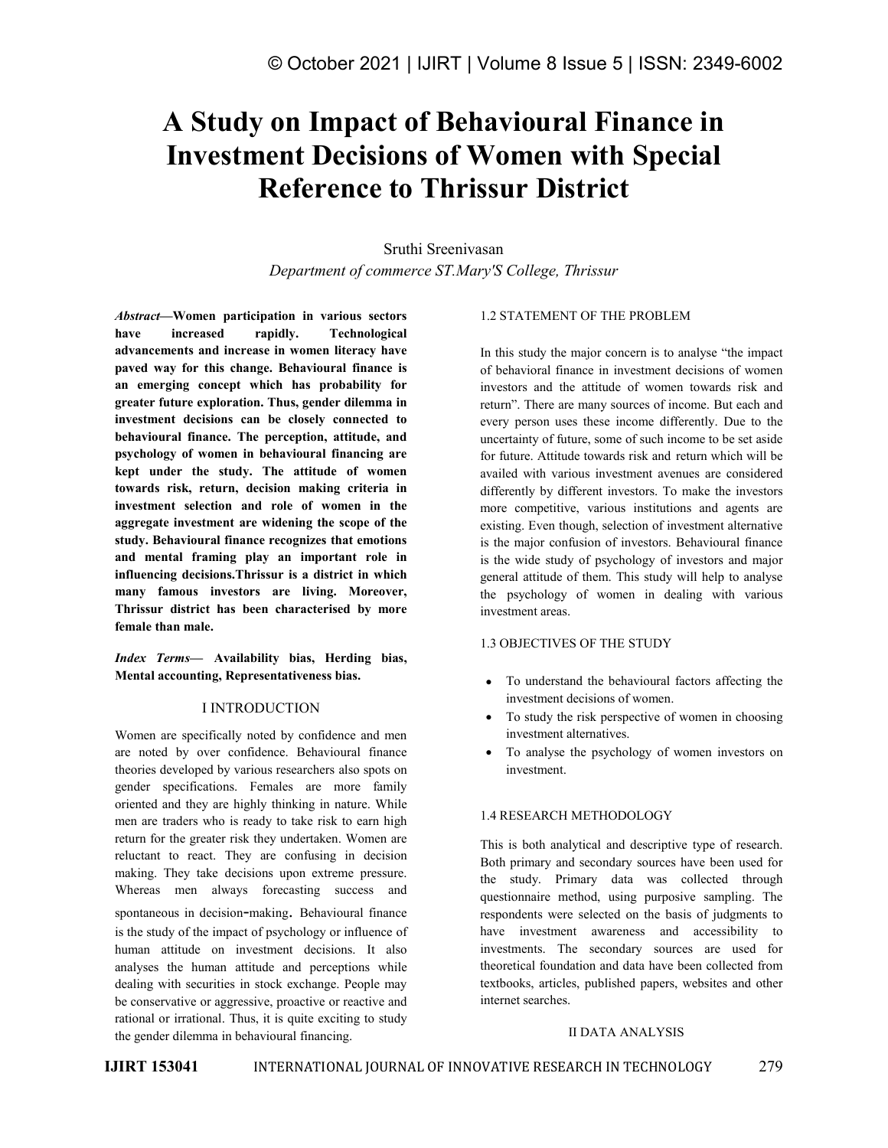# **A Study on Impact of Behavioural Finance in Investment Decisions of Women with Special Reference to Thrissur District**

Sruthi Sreenivasan *Department of commerce ST.Mary'S College, Thrissur*

*Abstract—***Women participation in various sectors have increased rapidly. Technological advancements and increase in women literacy have paved way for this change. Behavioural finance is an emerging concept which has probability for greater future exploration. Thus, gender dilemma in investment decisions can be closely connected to behavioural finance. The perception, attitude, and psychology of women in behavioural financing are kept under the study. The attitude of women towards risk, return, decision making criteria in investment selection and role of women in the aggregate investment are widening the scope of the study. Behavioural finance recognizes that emotions and mental framing play an important role in influencing decisions.Thrissur is a district in which many famous investors are living. Moreover, Thrissur district has been characterised by more female than male.**

*Index Terms—* **Availability bias, Herding bias, Mental accounting, Representativeness bias.**

# I INTRODUCTION

Women are specifically noted by confidence and men are noted by over confidence. Behavioural finance theories developed by various researchers also spots on gender specifications. Females are more family oriented and they are highly thinking in nature. While men are traders who is ready to take risk to earn high return for the greater risk they undertaken. Women are reluctant to react. They are confusing in decision making. They take decisions upon extreme pressure. Whereas men always forecasting success and spontaneous in decision-making. Behavioural finance is the study of the impact of psychology or influence of human attitude on investment decisions. It also analyses the human attitude and perceptions while dealing with securities in stock exchange. People may be conservative or aggressive, proactive or reactive and rational or irrational. Thus, it is quite exciting to study the gender dilemma in behavioural financing.

## 1.2 STATEMENT OF THE PROBLEM

In this study the major concern is to analyse "the impact of behavioral finance in investment decisions of women investors and the attitude of women towards risk and return". There are many sources of income. But each and every person uses these income differently. Due to the uncertainty of future, some of such income to be set aside for future. Attitude towards risk and return which will be availed with various investment avenues are considered differently by different investors. To make the investors more competitive, various institutions and agents are existing. Even though, selection of investment alternative is the major confusion of investors. Behavioural finance is the wide study of psychology of investors and major general attitude of them. This study will help to analyse the psychology of women in dealing with various investment areas.

## 1.3 OBJECTIVES OF THE STUDY

- To understand the behavioural factors affecting the investment decisions of women.
- To study the risk perspective of women in choosing investment alternatives.
- To analyse the psychology of women investors on investment.

# 1.4 RESEARCH METHODOLOGY

This is both analytical and descriptive type of research. Both primary and secondary sources have been used for the study. Primary data was collected through questionnaire method, using purposive sampling. The respondents were selected on the basis of judgments to have investment awareness and accessibility to investments. The secondary sources are used for theoretical foundation and data have been collected from textbooks, articles, published papers, websites and other

# **II DATA ANALYSIS**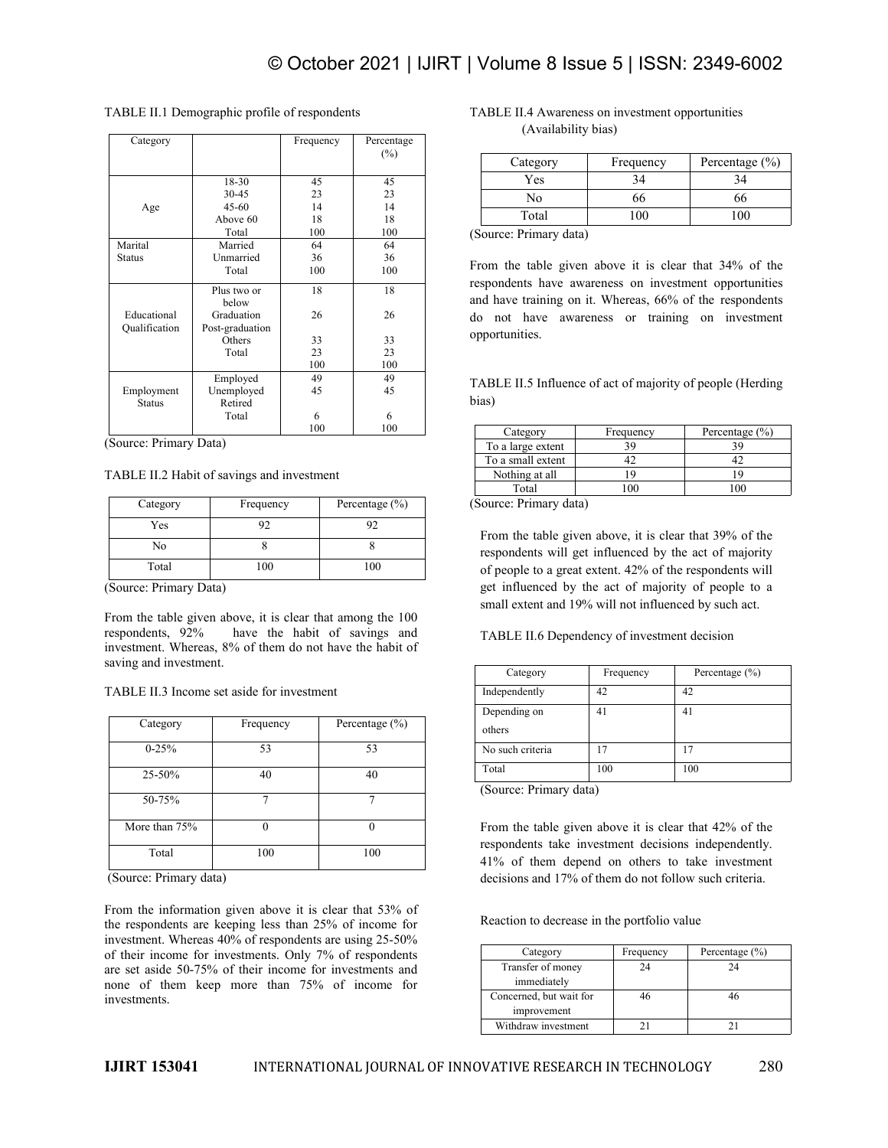| Category                     |                               | Frequency | Percentage<br>$(\%)$ |                  |
|------------------------------|-------------------------------|-----------|----------------------|------------------|
|                              | 18-30                         | 45        | 45                   |                  |
|                              | $30 - 45$                     | 23        | 23                   |                  |
| Age                          | $45 - 60$                     | 14        | 14                   |                  |
|                              | Above 60                      | 18        | 18                   |                  |
|                              | Total                         | 100       | 100                  | (Sourc           |
| Marital                      | Married                       | 64        | 64                   |                  |
| <b>Status</b>                | Unmarried                     | 36        | 36                   |                  |
|                              | Total                         | 100       | 100                  | From             |
|                              | Plus two or<br>below          | 18        | 18                   | respon<br>and ha |
| Educational<br>Qualification | Graduation<br>Post-graduation | 26        | 26                   | do<br>n(         |
|                              | Others                        | 33        | 33                   | opport           |
|                              | Total                         | 23        | 23                   |                  |
|                              |                               | 100       | 100                  |                  |
|                              | Employed                      | 49        | 49                   | <b>TABL</b>      |
| Employment                   | Unemployed                    | 45        | 45                   |                  |
| <b>Status</b>                | Retired                       |           |                      | bias)            |
|                              | Total                         | 6         | 6                    |                  |
|                              |                               | 100       | 100                  |                  |

# TABLE II.1 Demographic profile of respondents

(Source: Primary Data)

#### TABLE II.2 Habit of savings and investment

| Category | Frequency | Percentage $(\% )$ | (Sot |
|----------|-----------|--------------------|------|
| Yes      |           |                    | Fr   |
| No       |           |                    | re:  |
| Total    | 100       | 100                |      |

(Source: Primary Data)

From the table given above, it is clear that among the 100 respondents, 92% have the habit of savings and have the habit of savings and investment. Whereas, 8% of them do not have the habit of saving and investment.

#### TABLE II.3 Income setaside for investment

|               |           |                    | יש             |
|---------------|-----------|--------------------|----------------|
| Category      | Frequency | Percentage $(\% )$ | ot             |
| $0 - 25%$     | 53        | 53                 | N              |
| 25-50%        | 40        | 40                 | T <sub>o</sub> |
| 50-75%        |           |                    | (S             |
| More than 75% |           |                    | Fr             |
| Total         | 100       | 100                | re<br>41       |

(Source: Primary data)

From the information given above it is clear that 53% of the respondents are keeping less than 25% of income for investment. Whereas 40% of respondents are using 25-50% of their income for investments. Only 7% of respondents are set aside 50-75% of their income for investments and none of them keep more than 75% of income for investments.

# TABLE II.4 Awareness on investment opportunities (Availability bias)

| Category | Frequency | Percentage $(\% )$ |
|----------|-----------|--------------------|
| Yes      |           |                    |
| No       | 00        | DО                 |
| Total    |           | 00                 |

100 (Source: Primary data)

 $\frac{100}{100}$  From the table given above it is clear that 34% of the 26 do not have awareness or training on investment 33 opportunities. respondents have awareness on investment opportunities and have training on it. Whereas, 66% of the respondents

<sup>49</sup><br>TABLE II.5 Influence of act of majority of people (Herding bias)

| Category          | Frequency | Percentage $(\% )$ |
|-------------------|-----------|--------------------|
| To a large extent |           |                    |
| To a small extent |           |                    |
| Nothing at all    |           |                    |
| Total             |           |                    |

(Source: Primary data)

From the table given above, it is clear that 39% of the respondents will get influenced by the act of majority of people to a great extent. 42% of the respondents will get influenced by the act of majority of people to a small extent and 19% will not influenced by such act.

TABLE II.6 Dependency of investment decision

| Category         | Frequency | Percentage $(\% )$ |
|------------------|-----------|--------------------|
| Independently    | 42        | 42                 |
| Depending on     | 41        | 41                 |
| others           |           |                    |
| No such criteria | 17        |                    |
| Total            | 100       | 100                |

(Source: Primary data)

From the table given above it is clear that 42% of the respondents take investment decisions independently. 41% of them depend on others to take investment decisions and 17% of them do not follow such criteria.

Reaction to decrease in the portfolio value

| Category                | Frequency | Percentage $(\% )$ |
|-------------------------|-----------|--------------------|
| Transfer of money       | 24        | 24                 |
| immediately             |           |                    |
| Concerned, but wait for |           |                    |
| improvement             |           |                    |
| Withdraw investment     |           |                    |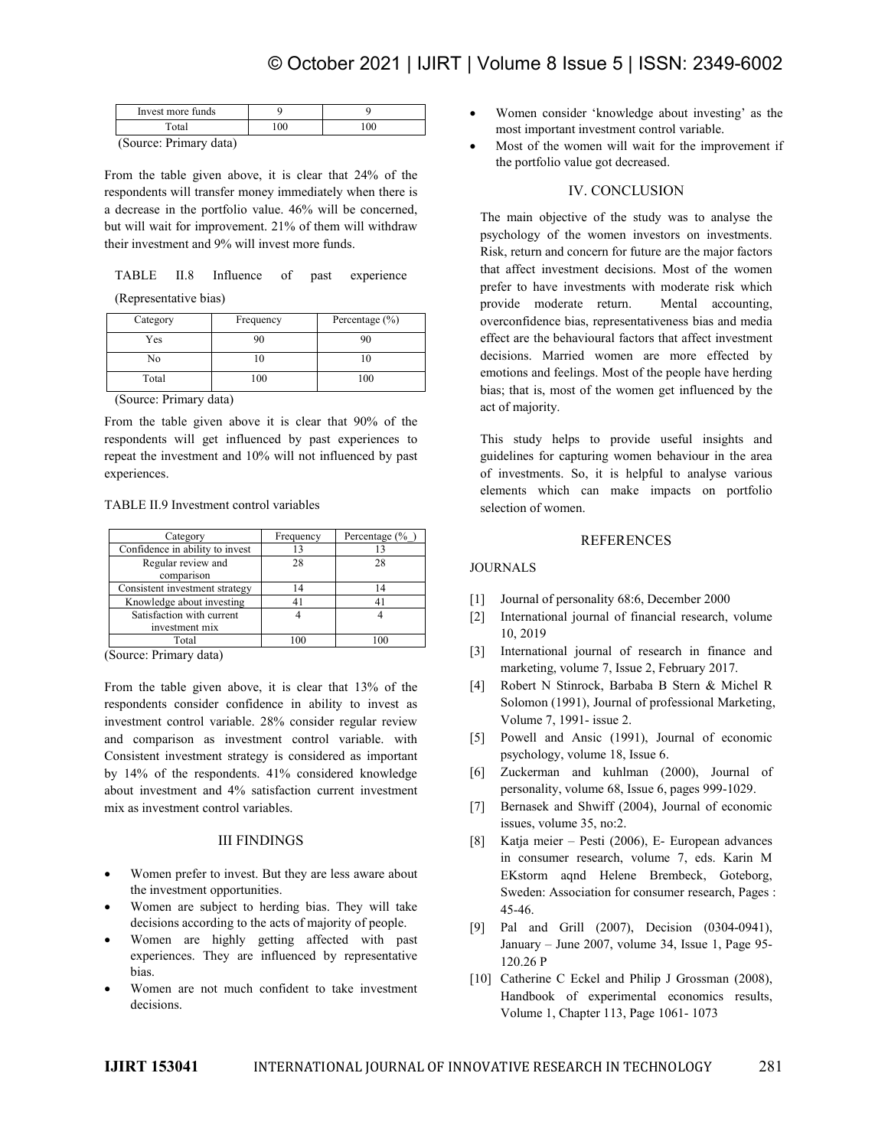| i more tunds<br>Invest |  |  |
|------------------------|--|--|
|                        |  |  |
| $\sim$ $-$<br>- -      |  |  |

(Source: Primary data)

From the table given above, it is clear that 24% of the respondents will transfer money immediately when there is a decrease in the portfolio value. 46% will be concerned, but will wait for improvement. 21% of them will withdraw their investment and 9% will invest more funds.

|                                                                                                                                                                                                                                                                                                                    |  |  | TABLE II.8 Influence of past experience | ulat al |
|--------------------------------------------------------------------------------------------------------------------------------------------------------------------------------------------------------------------------------------------------------------------------------------------------------------------|--|--|-----------------------------------------|---------|
| $\sqrt{2}$ $\sqrt{2}$ $\sqrt{2}$ $\sqrt{2}$ $\sqrt{2}$ $\sqrt{2}$ $\sqrt{2}$ $\sqrt{2}$ $\sqrt{2}$ $\sqrt{2}$ $\sqrt{2}$ $\sqrt{2}$ $\sqrt{2}$ $\sqrt{2}$ $\sqrt{2}$ $\sqrt{2}$ $\sqrt{2}$ $\sqrt{2}$ $\sqrt{2}$ $\sqrt{2}$ $\sqrt{2}$ $\sqrt{2}$ $\sqrt{2}$ $\sqrt{2}$ $\sqrt{2}$ $\sqrt{2}$ $\sqrt{2}$ $\sqrt{2$ |  |  |                                         | prefer  |

| Category | Frequency | Percentage $(\% )$ |
|----------|-----------|--------------------|
| Yes      |           |                    |
| No       |           |                    |
| Total    | 100       | 100                |

(Source: Primary data)

From the table given above it is clear that 90% of the respondents will get influenced by past experiences to repeat the investment and 10% will not influenced by past experiences.

#### TABLE II.9 Investment control variables

| Category                         | Frequency | Percentage $(\%$ |     |
|----------------------------------|-----------|------------------|-----|
| Confidence in ability to invest  |           |                  |     |
| Regular review and<br>comparison | 28        | 28               | ЮU  |
| Consistent investment strategy   | 14        |                  |     |
| Knowledge about investing        |           |                  |     |
| Satisfaction with current        |           |                  |     |
| investment mix                   |           |                  |     |
| Total                            |           |                  | --- |

(Source: Primary data)

From the table given above, it is clear that  $13\%$  of the  $[4]$ respondents consider confidence in ability to invest as investment control variable. 28% consider regular review and comparison as investment control variable. with Consistent investment strategy is considered as important by 14% of the respondents. 41% considered knowledge about investment and 4% satisfaction current investment mix as investment control variables.

# III FINDINGS

- Women prefer to invest. But they are less aware about the investment opportunities.
- Women are subject to herding bias. They will take decisions according to the acts of majority of people.
- Women are highly getting affected with past experiences. They are influenced by representative bias.
- Women are not much confident to take investment decisions.
- Women consider 'knowledge about investing' as the most important investment control variable.
- Most of the women will wait for the improvement if the portfolio value got decreased.

# IV. CONCLUSION

The main objective of the study was to analyse the psychology of the women investors on investments. Risk, return and concern for future are the major factors that affect investment decisions. Most of the women prefer to have investments with moderate risk which provide moderate return. Mental accounting, overconfidence bias, representativeness bias and media effect are the behavioural factors that affect investment decisions. Married women are more effected by emotions and feelings. Most of the people have herding bias; that is, most of the women get influenced by the act of majority.

This study helps to provide useful insights and guidelines for capturing women behaviour in the area of investments. So, it is helpful to analyse various elements which can make impacts on portfolio selection of women.

## **REFERENCES**

## JOURNALS

- [1] Journal of personality 68:6, December 2000
- [2] International journal of financial research, volume 10, 2019
- [3] International journal of research in finance and marketing, volume 7, Issue 2, February 2017.
- [4] Robert N Stinrock, Barbaba B Stern & Michel R Solomon (1991), Journal of professional Marketing, Volume 7, 1991- issue 2.
- [5] Powell and Ansic (1991), Journal of economic psychology, volume 18, Issue 6.
- [6] Zuckerman and kuhlman (2000), Journal of personality, volume 68, Issue 6, pages 999-1029.
- [7] Bernasek and Shwiff (2004), Journal of economic issues, volume 35, no:2.
- [8] Katja meier Pesti (2006), E- European advances in consumer research, volume 7, eds. Karin M EKstorm aqnd Helene Brembeck, Goteborg, Sweden: Association for consumer research, Pages : 45-46.
- [9] Pal and Grill (2007), Decision (0304-0941), January – June 2007, volume 34, Issue 1, Page 95-120.26 P
- [10] Catherine C Eckel and Philip J Grossman (2008), Handbook of experimental economics results, Volume 1, Chapter 113, Page 1061- 1073